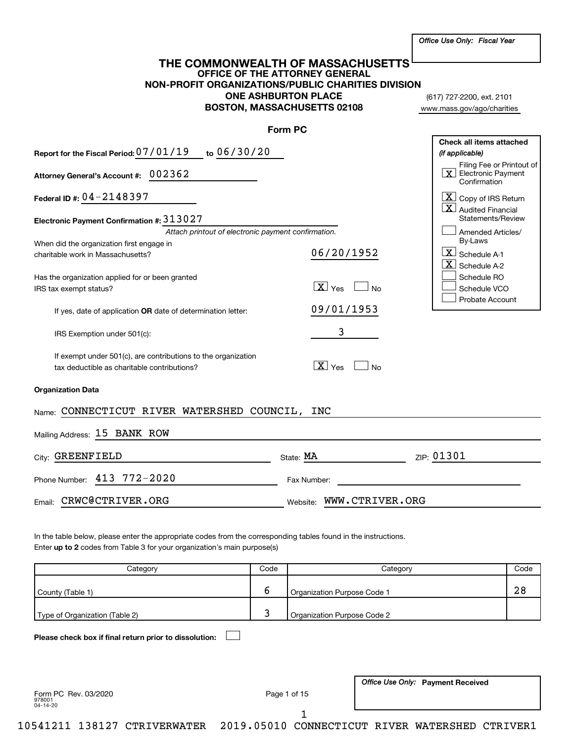|  |  |  |  | Office Use Only: Fiscal Year |  |
|--|--|--|--|------------------------------|--|
|--|--|--|--|------------------------------|--|

# **OFFICE OF THE ATTORNEY GENERAL NON-PROFIT ORGANIZATIONS/PUBLIC CHARITIES DIVISION ONE ASHBURTON PLACE BOSTON, MASSACHUSETTS 02108 THE COMMONWEALTH OF MASSACHUSETTS**

(617) 727-2200, ext. 2101 www.mass.gov/ago/charities

|                                                                                                              | Form PC                                               |                                                                                     |
|--------------------------------------------------------------------------------------------------------------|-------------------------------------------------------|-------------------------------------------------------------------------------------|
| Report for the Fiscal Period: 07/01/19 to 06/30/20                                                           |                                                       | Check all items attached<br>(if applicable)                                         |
| Attorney General's Account #: 002362                                                                         |                                                       | Filing Fee or Printout of<br>$\lfloor x \rfloor$ Electronic Payment<br>Confirmation |
| Federal ID #: $04 - 2148397$                                                                                 |                                                       | $X$ Copy of IRS Return<br>$\overline{X}$ Audited Financial                          |
| Electronic Payment Confirmation #: 313027                                                                    |                                                       | Statements/Review                                                                   |
| Attach printout of electronic payment confirmation.                                                          |                                                       | Amended Articles/                                                                   |
| When did the organization first engage in                                                                    |                                                       | By-Laws                                                                             |
| charitable work in Massachusetts?                                                                            | 06/20/1952                                            | $\lfloor x \rfloor$ Schedule A-1                                                    |
|                                                                                                              |                                                       | $ \mathbf{X} $ Schedule A-2                                                         |
| Has the organization applied for or been granted                                                             |                                                       | Schedule RO                                                                         |
| IRS tax exempt status?                                                                                       | $\boxed{\text{X}}$ Yes<br>$\overline{\phantom{a}}$ No | Schedule VCO                                                                        |
| If yes, date of application OR date of determination letter:                                                 | 09/01/1953                                            | Probate Account                                                                     |
| IRS Exemption under 501(c):                                                                                  | 3                                                     |                                                                                     |
| If exempt under 501(c), are contributions to the organization<br>tax deductible as charitable contributions? | $\boxed{\text{X}}$ Yes<br><b>No</b>                   |                                                                                     |
| <b>Organization Data</b>                                                                                     |                                                       |                                                                                     |
| Name: CONNECTICUT RIVER WATERSHED COUNCIL, INC                                                               |                                                       |                                                                                     |
| Mailing Address: 15 BANK ROW                                                                                 |                                                       |                                                                                     |
| City: GREENFIELD                                                                                             | State: MA                                             | ZIP: 01301                                                                          |
| Phone Number: 413 772-2020                                                                                   | Fax Number:                                           |                                                                                     |
| CRWC@CTRIVER.ORG<br>Email:                                                                                   | Website: WWW.CTRIVER.ORG                              |                                                                                     |
|                                                                                                              |                                                       |                                                                                     |

Enter up to 2 codes from Table 3 for your organization's main purpose(s) In the table below, please enter the appropriate codes from the corresponding tables found in the instructions.

| Categorv                       | Code | Categorv                    | Code |
|--------------------------------|------|-----------------------------|------|
| County (Table 1)               | с    | Organization Purpose Code 1 | 28   |
| Type of Organization (Table 2) |      | Organization Purpose Code 2 |      |

**Please check box if final return prior to dissolution:** †

978001 04-14-20 Form PC Rev. 03/2020 **Page 1 of 15** 

1

**Office Use Only: Payment Received** 

10541211 138127 CTRIVERWATER 2019.05010 CONNECTICUT RIVER WATERSHED CTRIVER1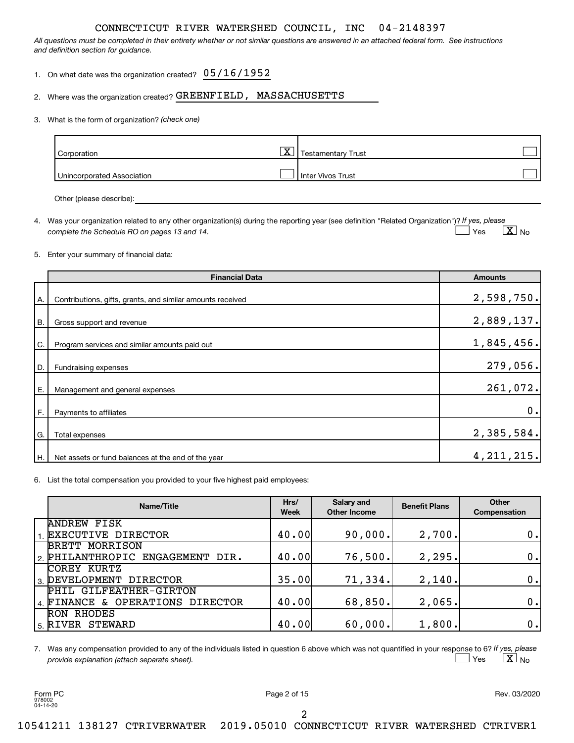*All questions must be completed in their entirety whether or not similar questions are answered in an attached federal form. See instructions and definition section for guidance.*

| 1. On what date was the organization created? $05/16/1952$ |  |  |
|------------------------------------------------------------|--|--|
|------------------------------------------------------------|--|--|

#### 2. Where was the organization created? GREENFIELD, MASSACHUSETTS

#### *(check one)* 3. What is the form of organization?

| Corporation                | $\overline{\mathbf{v}}$<br>▵ | Testamentary Trust  |  |
|----------------------------|------------------------------|---------------------|--|
| Unincorporated Association |                              | l Inter Vivos Trust |  |

Other (please describe):

4. Was your organization related to any other organization(s) during the reporting year (see definition "Related Organization")? If yes, please *complete the Schedule RO on pages 13 and 14.* Yes  $\qquad \qquad \boxed{\textbf{X}}$  No  $\exists$  Yes

#### 5. Enter your summary of financial data:

|           | <b>Financial Data</b>                                      | <b>Amounts</b> |
|-----------|------------------------------------------------------------|----------------|
| A.        | Contributions, gifts, grants, and similar amounts received | 2,598,750.     |
| <b>B.</b> | Gross support and revenue                                  | 2,889,137.     |
| C.        | Program services and similar amounts paid out              | 1,845,456.     |
| D.        | Fundraising expenses                                       | 279,056.       |
| Ε.        | Management and general expenses                            | 261,072.       |
| F.        | Payments to affiliates                                     | 0.             |
| G.        | Total expenses                                             | 2,385,584.     |
| H.        | Net assets or fund balances at the end of the year         | 4, 211, 215.   |

6. List the total compensation you provided to your five highest paid employees:

| Name/Title                       | Hrs/<br><b>Week</b> | Salary and<br><b>Other Income</b> | <b>Benefit Plans</b> | Other<br>Compensation |
|----------------------------------|---------------------|-----------------------------------|----------------------|-----------------------|
| <b>ANDREW FISK</b>               |                     |                                   |                      |                       |
| 1. EXECUTIVE DIRECTOR            | 40.00               | 90,000.                           | 2,700.               | 0.1                   |
| <b>BRETT MORRISON</b>            |                     |                                   |                      |                       |
| 2. PHILANTHROPIC ENGAGEMENT DIR. | 40.00               | 76,500.                           | 2, 295.              | 0.1                   |
| COREY KURTZ                      |                     |                                   |                      |                       |
| 3. DEVELOPMENT DIRECTOR          | 35.00               | 71, 334.                          | 2,140.               | 0.1                   |
| PHIL GILFEATHER-GIRTON           |                     |                                   |                      |                       |
| 4. FINANCE & OPERATIONS DIRECTOR | 40.00               | 68,850.                           | 2,065.               | 0.1                   |
| RON RHODES                       |                     |                                   |                      |                       |
| 5. RIVER STEWARD                 | 40.00               | 60,000.                           | 1,800.               | 0.1                   |

7. Was any compensation provided to any of the individuals listed in question 6 above which was not quantified in your response to 6? If yes, please *provide explanation (attach separate sheet).* Yes  $\qquad \qquad \boxed{\textbf{X}}$  No † †

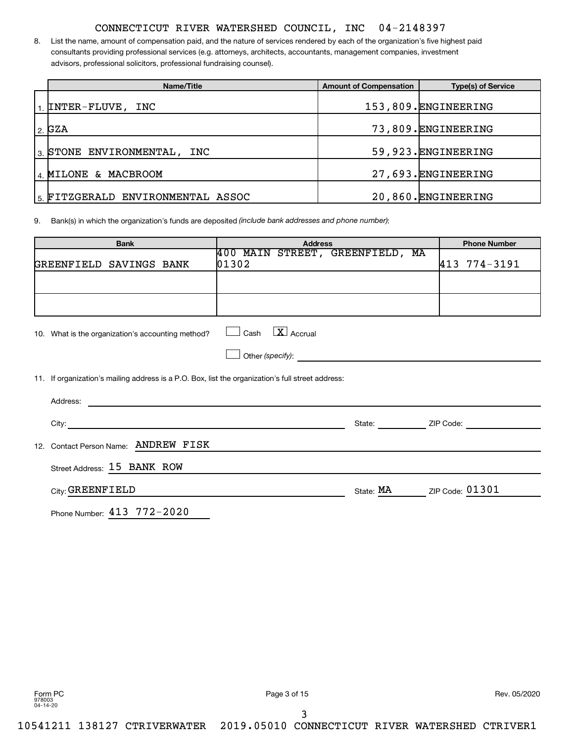8. List the name, amount of compensation paid, and the nature of services rendered by each of the organization's five highest paid consultants providing professional services (e.g. attorneys, architects, accountants, management companies, investment advisors, professional solicitors, professional fundraising counsel).

| Name/Title                        | <b>Amount of Compensation</b> | <b>Type(s) of Service</b> |
|-----------------------------------|-------------------------------|---------------------------|
| $_1$ INTER-FLUVE, INC             |                               | 153,809. ENGINEERING      |
| 2.62A                             |                               | 73,809. ENGINEERING       |
| 3 STONE ENVIRONMENTAL,<br>INC     |                               | 59,923. ENGINEERING       |
| 4 MILONE & MACBROOM               |                               | 27,693. ENGINEERING       |
| 5. FITZGERALD ENVIRONMENTAL ASSOC |                               | 20,860. ENGINEERING       |

9. Bank(s) in which the organization's funds are deposited *(include bank addresses and phone number)*:

| <b>Bank</b>                                                                                       | <b>Address</b>                                     |                           | <b>Phone Number</b>                                   |
|---------------------------------------------------------------------------------------------------|----------------------------------------------------|---------------------------|-------------------------------------------------------|
| GREENFIELD SAVINGS BANK                                                                           | 400 MAIN STREET, GREENFIELD, MA<br>$ 01302\rangle$ |                           | 413 774-3191                                          |
|                                                                                                   |                                                    |                           |                                                       |
|                                                                                                   |                                                    |                           |                                                       |
|                                                                                                   |                                                    |                           |                                                       |
| 10. What is the organization's accounting method?                                                 | $\boxed{\mathbf{X}}$ Accrual<br>Cash               |                           |                                                       |
|                                                                                                   |                                                    |                           |                                                       |
| 11. If organization's mailing address is a P.O. Box, list the organization's full street address: |                                                    |                           |                                                       |
|                                                                                                   |                                                    |                           |                                                       |
|                                                                                                   |                                                    |                           | State: <u>Constantine and ZIP</u> Code: Communication |
| 12. Contact Person Name: ANDREW FISK                                                              |                                                    |                           |                                                       |
| Street Address: 15 BANK ROW                                                                       |                                                    |                           |                                                       |
| City: GREENFIELD                                                                                  |                                                    | State: MA ZIP Code: 01301 |                                                       |
| Phone Number: 413 772-2020                                                                        |                                                    |                           |                                                       |

Form PC Page 3 of 15 Rev. 05/2020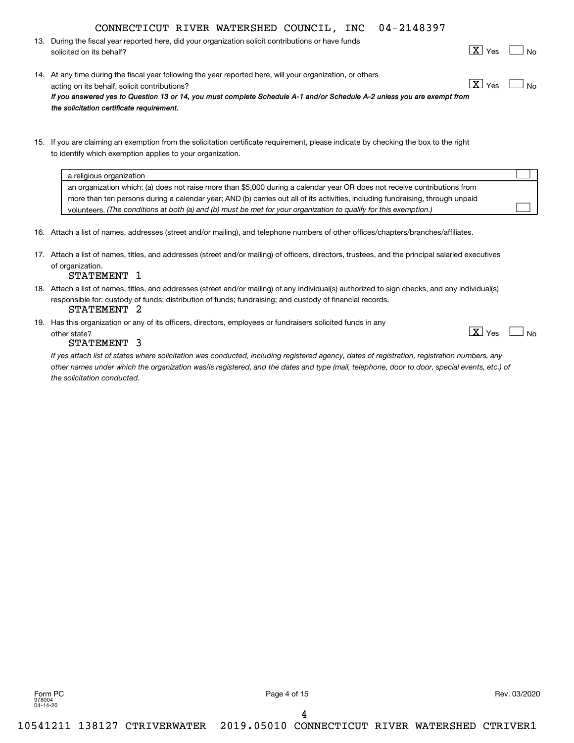| CONNECTICUT RIVER WATERSHED COUNCIL, INC 04-2148397 |  |  |  |  |  |
|-----------------------------------------------------|--|--|--|--|--|
|-----------------------------------------------------|--|--|--|--|--|

13. During the fiscal year reported here, did your organization solicit contributions or have funds solicited on its behalf?

|--|--|--|--|

 $\boxed{\text{X}}$  Yes  $\boxed{\phantom{1}}$ 

- 14. At any time during the fiscal year following the year reported here, will your organization, or others acting on its behalf, solicit contributions? *If you answered yes to Question 13 or 14, you must complete Schedule A-1 and/or Schedule A-2 unless you are exempt from the solicitation certificate requirement.*  $\boxed{\text{X}}$  Yes  $\boxed{\phantom{1}}$
- 15. If you are claiming an exemption from the solicitation certificate requirement, please indicate by checking the box to the right to identify which exemption applies to your organization.

| a religious organization                                                                                                       |  |
|--------------------------------------------------------------------------------------------------------------------------------|--|
| an organization which: (a) does not raise more than \$5,000 during a calendar year OR does not receive contributions from      |  |
| more than ten persons during a calendar year; AND (b) carries out all of its activities, including fundraising, through unpaid |  |
| volunteers. (The conditions at both (a) and (b) must be met for your organization to qualify for this exemption.)              |  |

- 16. Attach a list of names, addresses (street and/or mailing), and telephone numbers of other offices/chapters/branches/affiliates.
- 17. Attach a list of names, titles, and addresses (street and/or mailing) of officers, directors, trustees, and the principal salaried executives of organization.

#### STATEMENT 1

- 18. Attach a list of names, titles, and addresses (street and/or mailing) of any individual(s) authorized to sign checks, and any individual(s) responsible for: custody of funds; distribution of funds; fundraising; and custody of financial records. STATEMENT 2
- 19. Has this organization or any of its officers, directors, employees or fundraisers solicited funds in any other state? No research in the state of the state of the state of the state of the state of the state of the state of the state of the state of the state of the state of the state of the state of the state of the state of

#### STATEMENT 3

*If yes attach list of states where solicitation was conducted, including registered agency, dates of registration, registration numbers, any other names under which the organization was/is registered, and the dates and type (mail, telephone, door to door, special events, etc.) of the solicitation conducted.*

Form PC Page 4 of 15 Rev. 03/2020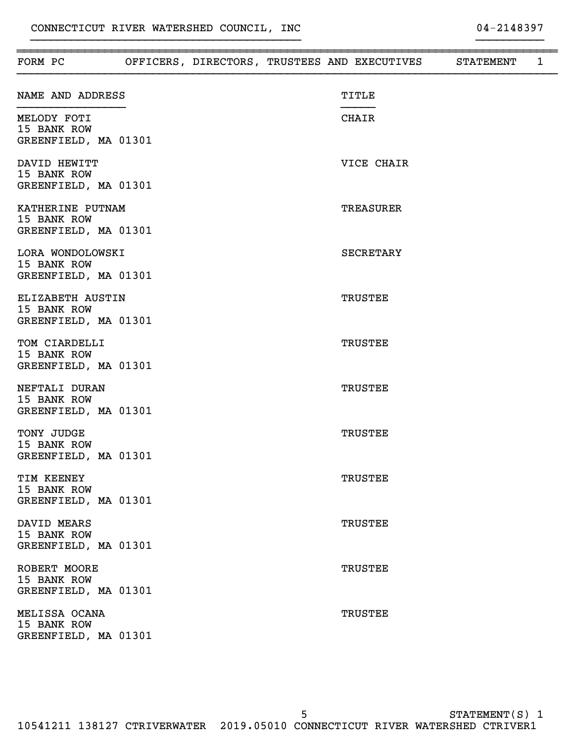| FORM PC                                                 |  |  | OFFICERS, DIRECTORS, TRUSTEES AND EXECUTIVES | STATEMENT | $\mathbf{1}$ |
|---------------------------------------------------------|--|--|----------------------------------------------|-----------|--------------|
| NAME AND ADDRESS                                        |  |  | TITLE                                        |           |              |
| MELODY FOTI<br>15 BANK ROW<br>GREENFIELD, MA 01301      |  |  | CHAIR                                        |           |              |
| DAVID HEWITT<br>15 BANK ROW<br>GREENFIELD, MA 01301     |  |  | VICE CHAIR                                   |           |              |
| KATHERINE PUTNAM<br>15 BANK ROW<br>GREENFIELD, MA 01301 |  |  | <b>TREASURER</b>                             |           |              |
| LORA WONDOLOWSKI<br>15 BANK ROW<br>GREENFIELD, MA 01301 |  |  | <b>SECRETARY</b>                             |           |              |
| ELIZABETH AUSTIN<br>15 BANK ROW<br>GREENFIELD, MA 01301 |  |  | <b>TRUSTEE</b>                               |           |              |
| TOM CIARDELLI<br>15 BANK ROW<br>GREENFIELD, MA 01301    |  |  | <b>TRUSTEE</b>                               |           |              |
| NEFTALI DURAN<br>15 BANK ROW<br>GREENFIELD, MA 01301    |  |  | <b>TRUSTEE</b>                               |           |              |
| TONY JUDGE<br>15 BANK ROW<br>GREENFIELD, MA 01301       |  |  | <b>TRUSTEE</b>                               |           |              |
| TIM KEENEY<br>15 BANK ROW<br>GREENFIELD, MA 01301       |  |  | <b>TRUSTEE</b>                               |           |              |
| DAVID MEARS<br>15 BANK ROW<br>GREENFIELD, MA 01301      |  |  | <b>TRUSTEE</b>                               |           |              |
| ROBERT MOORE<br>15 BANK ROW<br>GREENFIELD, MA 01301     |  |  | <b>TRUSTEE</b>                               |           |              |
| MELISSA OCANA<br>15 BANK ROW<br>GREENFIELD, MA 01301    |  |  | <b>TRUSTEE</b>                               |           |              |

}}}}}}}}}}}}}}}}}}}}}}}}}}}}}}}}}}}}}}}} }}}}}}}}}}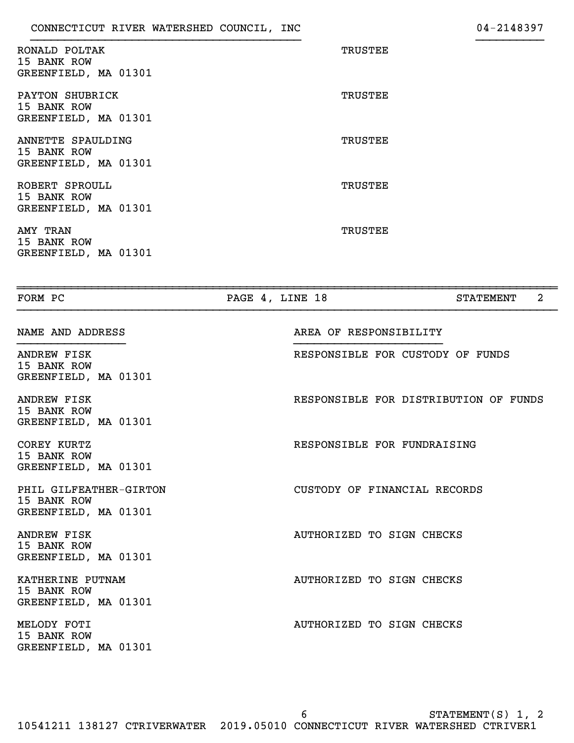| RONALD POLTAK<br>15 BANK ROW<br>GREENFIELD, MA 01301     | TRUSTEE |
|----------------------------------------------------------|---------|
| PAYTON SHUBRICK<br>15 BANK ROW<br>GREENFIELD, MA 01301   | TRUSTEE |
| ANNETTE SPAULDING<br>15 BANK ROW<br>GREENFIELD, MA 01301 | TRUSTEE |
| ROBERT SPROULL<br>15 BANK ROW<br>GREENFIELD, MA 01301    | TRUSTEE |
| AMY TRAN<br>15 BANK ROW<br>GREENFIELD, MA 01301          | TRUSTEE |

| FORM PC                                                       | PAGE 4, LINE 18                       | $\overline{2}$<br><b>STATEMENT</b> |
|---------------------------------------------------------------|---------------------------------------|------------------------------------|
| NAME AND ADDRESS                                              | AREA OF RESPONSIBILITY                |                                    |
| ANDREW FISK<br>15 BANK ROW<br>GREENFIELD, MA 01301            | RESPONSIBLE FOR CUSTODY OF FUNDS      |                                    |
| ANDREW FISK<br>15 BANK ROW<br>GREENFIELD, MA 01301            | RESPONSIBLE FOR DISTRIBUTION OF FUNDS |                                    |
| COREY KURTZ<br>15 BANK ROW<br>GREENFIELD, MA 01301            | RESPONSIBLE FOR FUNDRAISING           |                                    |
| PHIL GILFEATHER-GIRTON<br>15 BANK ROW<br>GREENFIELD, MA 01301 | CUSTODY OF FINANCIAL RECORDS          |                                    |
| <b>ANDREW FISK</b><br>15 BANK ROW<br>GREENFIELD, MA 01301     | AUTHORIZED TO SIGN CHECKS             |                                    |
| KATHERINE PUTNAM<br>15 BANK ROW<br>GREENFIELD, MA 01301       | AUTHORIZED TO SIGN CHECKS             |                                    |
| MELODY FOTI<br>15 BANK ROW<br>GREENFIELD, MA 01301            | AUTHORIZED TO SIGN CHECKS             |                                    |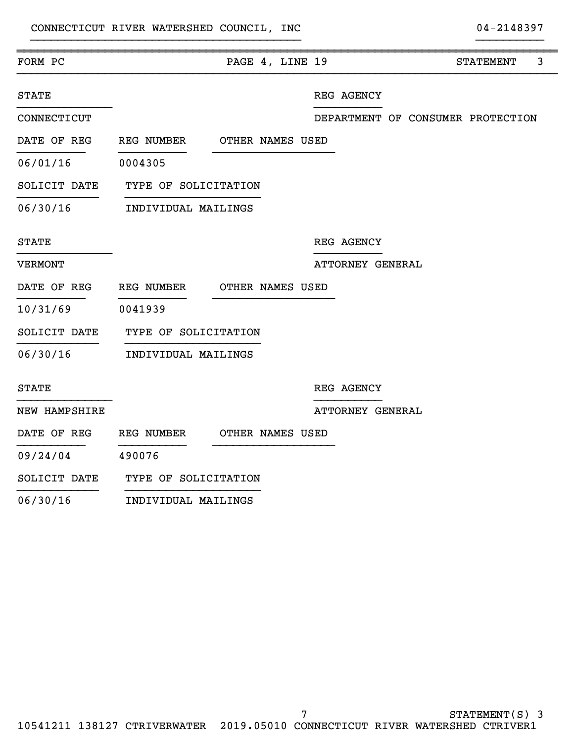| FORM PC                                 |                             | PAGE 4, LINE 19 |  |                  |  | <b>STATEMENT</b>                  | 3 |
|-----------------------------------------|-----------------------------|-----------------|--|------------------|--|-----------------------------------|---|
| <b>STATE</b>                            |                             |                 |  | REG AGENCY       |  |                                   |   |
| CONNECTICUT                             |                             |                 |  |                  |  | DEPARTMENT OF CONSUMER PROTECTION |   |
| DATE OF REG REG NUMBER OTHER NAMES USED |                             |                 |  |                  |  |                                   |   |
| 06/01/16 0004305                        |                             |                 |  |                  |  |                                   |   |
| SOLICIT DATE TYPE OF SOLICITATION       |                             |                 |  |                  |  |                                   |   |
| 06/30/16                                | INDIVIDUAL MAILINGS         |                 |  |                  |  |                                   |   |
| <b>STATE</b>                            |                             |                 |  | REG AGENCY       |  |                                   |   |
| <b>VERMONT</b>                          |                             |                 |  | ATTORNEY GENERAL |  |                                   |   |
| DATE OF REG                             | REG NUMBER OTHER NAMES USED |                 |  |                  |  |                                   |   |
| 10/31/69 0041939                        |                             |                 |  |                  |  |                                   |   |
| SOLICIT DATE TYPE OF SOLICITATION       |                             |                 |  |                  |  |                                   |   |
| 06/30/16 INDIVIDUAL MAILINGS            |                             |                 |  |                  |  |                                   |   |
| <b>STATE</b>                            |                             |                 |  | REG AGENCY       |  |                                   |   |
| NEW HAMPSHIRE                           |                             |                 |  | ATTORNEY GENERAL |  |                                   |   |
| DATE OF REG REG NUMBER OTHER NAMES USED |                             |                 |  |                  |  |                                   |   |
| 09/24/04                                | 490076                      |                 |  |                  |  |                                   |   |
| SOLICIT DATE                            | TYPE OF SOLICITATION        |                 |  |                  |  |                                   |   |
| $02$ $02$                               | ---- -------- - --- -- ---- |                 |  |                  |  |                                   |   |

06/30/16 INDIVIDUAL MAILINGS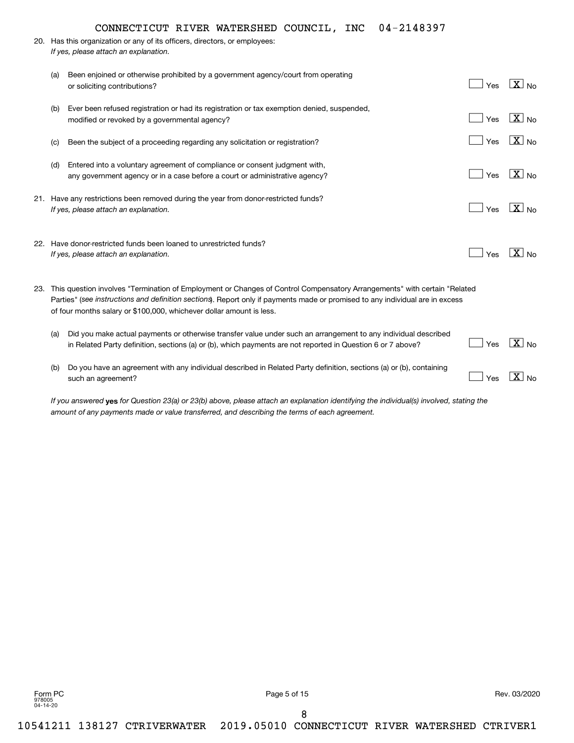|     | 04-2148397<br>CONNECTICUT RIVER WATERSHED COUNCIL, INC                                                                                                                                                                                                                                                                                |     |                       |
|-----|---------------------------------------------------------------------------------------------------------------------------------------------------------------------------------------------------------------------------------------------------------------------------------------------------------------------------------------|-----|-----------------------|
|     | 20. Has this organization or any of its officers, directors, or employees:                                                                                                                                                                                                                                                            |     |                       |
|     | If yes, please attach an explanation.                                                                                                                                                                                                                                                                                                 |     |                       |
| (a) | Been enjoined or otherwise prohibited by a government agency/court from operating<br>or soliciting contributions?                                                                                                                                                                                                                     | Yes | $\sqrt{X}$ No         |
| (b) | Ever been refused registration or had its registration or tax exemption denied, suspended,<br>modified or revoked by a governmental agency?                                                                                                                                                                                           | Yes | $\boxed{\text{X}}$ No |
| (c) | Been the subject of a proceeding regarding any solicitation or registration?                                                                                                                                                                                                                                                          | Yes | $\boxed{\text{X}}$ No |
| (d) | Entered into a voluntary agreement of compliance or consent judgment with,<br>any government agency or in a case before a court or administrative agency?                                                                                                                                                                             | Yes | $\boxed{\text{X}}$ No |
|     | 21. Have any restrictions been removed during the year from donor-restricted funds?<br>If yes, please attach an explanation.                                                                                                                                                                                                          | Yes | $ X _{N_Q}$           |
|     | 22. Have donor-restricted funds been loaned to unrestricted funds?<br>If yes, please attach an explanation.                                                                                                                                                                                                                           | Yes | $\sqrt{X}$ No         |
|     | 23. This question involves "Termination of Employment or Changes of Control Compensatory Arrangements" with certain "Related<br>Parties" (see instructions and definition sections). Report only if payments made or promised to any individual are in excess<br>of four months salary or \$100,000, whichever dollar amount is less. |     |                       |
| (a) | Did you make actual payments or otherwise transfer value under such an arrangement to any individual described<br>in Related Party definition, sections (a) or (b), which payments are not reported in Question 6 or 7 above?                                                                                                         | Yes | $\boxed{\text{X}}$ No |
| (b) | Do you have an agreement with any individual described in Related Party definition, sections (a) or (b), containing<br>such an agreement?                                                                                                                                                                                             | Yes | $\sqrt{X}$ No         |

If you answered **yes** for Question 23(a) or 23(b) above, please attach an explanation identifying the individual(s) involved, stating the *amount of any payments made or value transferred, and describing the terms of each agreement.*

Form PC Page 5 of 15 Rev. 03/2020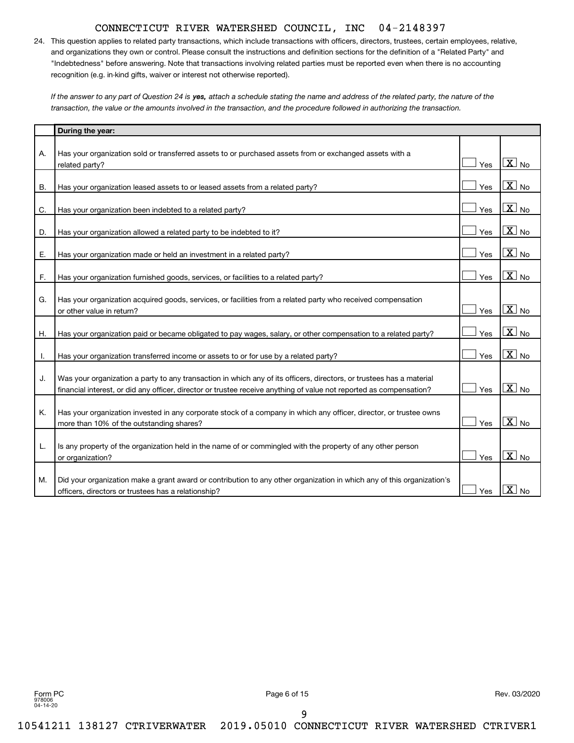24. This question applies to related party transactions, which include transactions with officers, directors, trustees, certain employees, relative, and organizations they own or control. Please consult the instructions and definition sections for the definition of a "Related Party" and "Indebtedness" before answering. Note that transactions involving related parties must be reported even when there is no accounting recognition (e.g. in-kind gifts, waiver or interest not otherwise reported).

If the answer to any part of Question 24 is **yes,** attach a schedule stating the name and address of the related party, the nature of the *transaction, the value or the amounts involved in the transaction, and the procedure followed in authorizing the transaction.*

|           | During the year:                                                                                                                                                                                                                            |     |                            |
|-----------|---------------------------------------------------------------------------------------------------------------------------------------------------------------------------------------------------------------------------------------------|-----|----------------------------|
| А.        | Has your organization sold or transferred assets to or purchased assets from or exchanged assets with a                                                                                                                                     |     |                            |
|           | related party?                                                                                                                                                                                                                              | Yes | $\boxed{\text{X}}$ No      |
| <b>B.</b> | Has your organization leased assets to or leased assets from a related party?                                                                                                                                                               | Yes | $\boxed{\text{X}}$ No      |
| C.        | Has your organization been indebted to a related party?                                                                                                                                                                                     | Yes | $X_{N0}$                   |
| D.        | Has your organization allowed a related party to be indebted to it?                                                                                                                                                                         | Yes | $X_{\text{No}}$            |
| Ε.        | Has your organization made or held an investment in a related party?                                                                                                                                                                        | Yes | $\boxed{\text{X}}$ No      |
| F.        | Has your organization furnished goods, services, or facilities to a related party?                                                                                                                                                          | Yes | $\boxed{\text{X}}$ No      |
| G.        | Has your organization acquired goods, services, or facilities from a related party who received compensation                                                                                                                                |     | $\boxed{\text{X}}$ No      |
|           | or other value in return?                                                                                                                                                                                                                   | Yes | $\boxed{\text{X}}$ No      |
| Η.        | Has your organization paid or became obligated to pay wages, salary, or other compensation to a related party?                                                                                                                              | Yes |                            |
| Τ.        | Has your organization transferred income or assets to or for use by a related party?                                                                                                                                                        | Yes | $\boxed{\text{X}}$ No      |
| J.        | Was your organization a party to any transaction in which any of its officers, directors, or trustees has a material<br>financial interest, or did any officer, director or trustee receive anything of value not reported as compensation? | Yes | $X_{\text{No}}$            |
| Κ.        | Has your organization invested in any corporate stock of a company in which any officer, director, or trustee owns<br>more than 10% of the outstanding shares?                                                                              | Yes | $\overline{X}$ No          |
| L.        | Is any property of the organization held in the name of or commingled with the property of any other person<br>or organization?                                                                                                             | Yes | $\overline{\mathbf{X}}$ No |
| M.        | Did your organization make a grant award or contribution to any other organization in which any of this organization's<br>officers, directors or trustees has a relationship?                                                               | Yes | $X_{N0}$                   |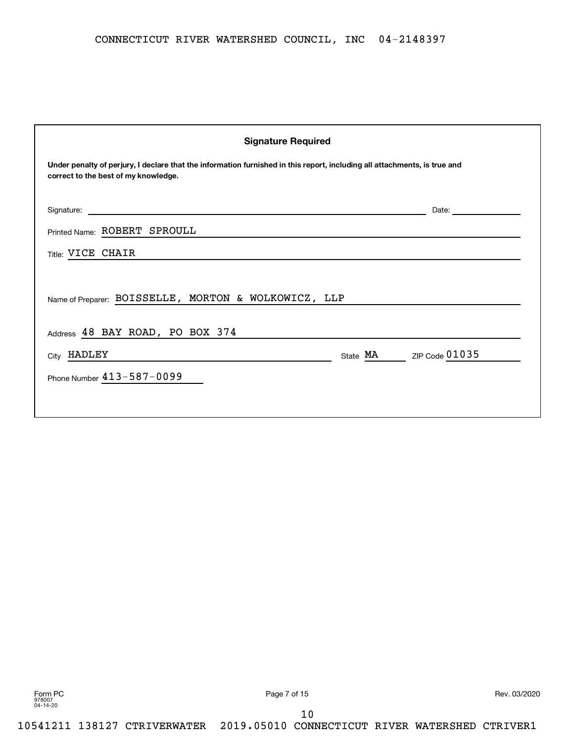| <b>Signature Required</b>                                                                                                                                         |                         |  |  |  |  |  |
|-------------------------------------------------------------------------------------------------------------------------------------------------------------------|-------------------------|--|--|--|--|--|
| Under penalty of perjury, I declare that the information furnished in this report, including all attachments, is true and<br>correct to the best of my knowledge. |                         |  |  |  |  |  |
| Signature:<br><u> 1989 - John Stone, amerikansk politiker (* 1989)</u>                                                                                            | Date:                   |  |  |  |  |  |
| Printed Name: ROBERT SPROULL                                                                                                                                      |                         |  |  |  |  |  |
| Title: VICE CHAIR                                                                                                                                                 |                         |  |  |  |  |  |
| Name of Preparer: BOISSELLE, MORTON & WOLKOWICZ, LLP                                                                                                              |                         |  |  |  |  |  |
| Address 48 BAY ROAD, PO BOX 374                                                                                                                                   |                         |  |  |  |  |  |
| City HADLEY                                                                                                                                                       | State MA ZIP Code 01035 |  |  |  |  |  |
| Phone Number 413-587-0099                                                                                                                                         |                         |  |  |  |  |  |
|                                                                                                                                                                   |                         |  |  |  |  |  |

Form PC Page 7 of 15 Rev. 03/2020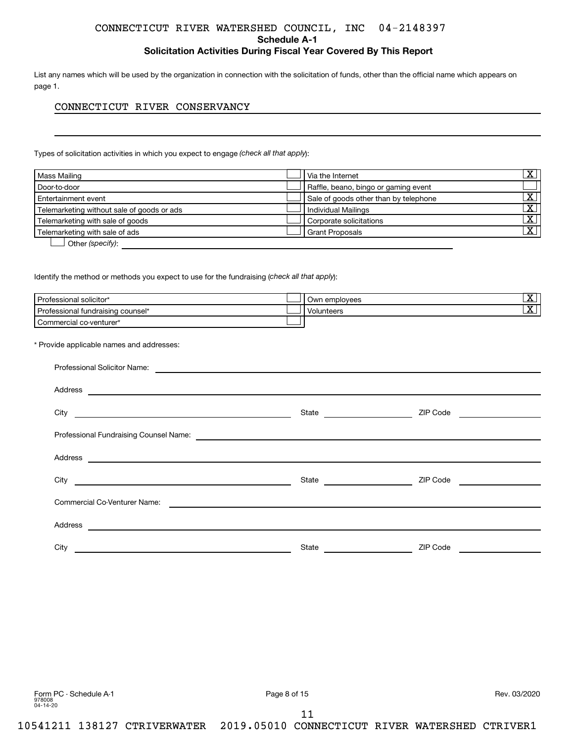**Schedule A-1**

# **Solicitation Activities During Fiscal Year Covered By This Report**

List any names which will be used by the organization in connection with the solicitation of funds, other than the official name which appears on page 1.

# CONNECTICUT RIVER CONSERVANCY

Types of solicitation activities in which you expect to engage (check all that apply):

| Mass Mailing                               | Via the Internet                      | $\overline{\mathbf{X}}$ |
|--------------------------------------------|---------------------------------------|-------------------------|
| Door-to-door                               | Raffle, beano, bingo or gaming event  |                         |
| Entertainment event                        | Sale of goods other than by telephone | X                       |
| Telemarketing without sale of goods or ads | <b>Individual Mailings</b>            | $\overline{\mathbf{X}}$ |
| Telemarketing with sale of goods           | Corporate solicitations               | $\overline{\mathbf{X}}$ |
| Telemarketing with sale of ads             | <b>Grant Proposals</b>                | $\overline{\mathbf{X}}$ |
| Other (specify):                           |                                       |                         |

Identify the method or methods you expect to use for the fundraising (check all that apply):

| Professional solicitor*           | l Own employees | ▵ |
|-----------------------------------|-----------------|---|
| Professional fundraising counsel* | Volunteers      | ▵ |
| Commercial co-venturer*           |                 |   |
|                                   |                 |   |

\* Provide applicable names and addresses:

| Address<br><u> Andreas Andreas Andreas Andreas Andreas Andreas Andreas Andreas Andreas Andreas Andreas Andreas Andreas Andr</u> |                                               |                                    |  |  |  |  |
|---------------------------------------------------------------------------------------------------------------------------------|-----------------------------------------------|------------------------------------|--|--|--|--|
|                                                                                                                                 | State                                         | ZIP Code <u>__________________</u> |  |  |  |  |
|                                                                                                                                 |                                               |                                    |  |  |  |  |
| Address<br><u> Andreas Andreas Andreas Andreas Andreas Andreas Andreas Andreas Andreas Andreas Andreas Andreas Andreas Andr</u> |                                               |                                    |  |  |  |  |
|                                                                                                                                 |                                               | ZIP Code                           |  |  |  |  |
| Commercial Co-Venturer Name:                                                                                                    | <u> 1980 - Andrea Andrew Maria (h. 1980).</u> |                                    |  |  |  |  |
| Address<br><u> 1989 - Johann Barn, fransk politik (d. 1989)</u>                                                                 |                                               |                                    |  |  |  |  |
| City                                                                                                                            | State                                         | ZIP Code                           |  |  |  |  |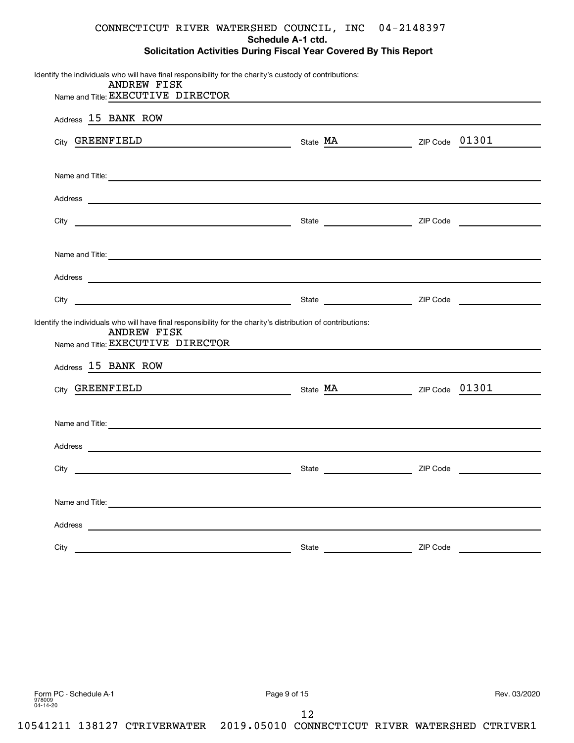# **Schedule A-1 ctd.**

| Solicitation Activities During Fiscal Year Covered By This Report |  |  |  |
|-------------------------------------------------------------------|--|--|--|
|-------------------------------------------------------------------|--|--|--|

| Identify the individuals who will have final responsibility for the charity's custody of contributions:<br><b>ANDREW FISK</b>                                                                                                        |       |                                                                                                                  |          |  |
|--------------------------------------------------------------------------------------------------------------------------------------------------------------------------------------------------------------------------------------|-------|------------------------------------------------------------------------------------------------------------------|----------|--|
| Name and Title: EXECUTIVE DIRECTOR                                                                                                                                                                                                   |       |                                                                                                                  |          |  |
| Address 15 BANK ROW<br><u> 1989 - Johann Harry Harry Harry Harry Harry Harry Harry Harry Harry Harry Harry Harry Harry Harry Harry Harry</u>                                                                                         |       |                                                                                                                  |          |  |
| City GREENFIELD State MA ZIP Code 01301                                                                                                                                                                                              |       |                                                                                                                  |          |  |
|                                                                                                                                                                                                                                      |       |                                                                                                                  |          |  |
| Name and Title: <u>example and Title</u> and Title and Title and Title and Title and Title and Title and Title and Title and Title and Title and Title and Title and Title and Title and Title and Title and Title and Title and Ti  |       |                                                                                                                  |          |  |
|                                                                                                                                                                                                                                      |       |                                                                                                                  |          |  |
|                                                                                                                                                                                                                                      |       |                                                                                                                  |          |  |
|                                                                                                                                                                                                                                      |       |                                                                                                                  |          |  |
| Name and Title: <u>example and Title</u> : and Titles are all the series of the series of the series of the series of the series of the series of the series of the series of the series of the series of the series of the series o |       |                                                                                                                  |          |  |
|                                                                                                                                                                                                                                      |       |                                                                                                                  |          |  |
|                                                                                                                                                                                                                                      |       |                                                                                                                  |          |  |
| Identify the individuals who will have final responsibility for the charity's distribution of contributions:                                                                                                                         |       |                                                                                                                  |          |  |
| <b>ANDREW FISK</b><br>Name and Title: EXECUTIVE DIRECTOR                                                                                                                                                                             |       | and the control of the control of the control of the control of the control of the control of the control of the |          |  |
| Address 15 BANK ROW                                                                                                                                                                                                                  |       |                                                                                                                  |          |  |
| City GREENFIELD State MA ZIP Code 01301                                                                                                                                                                                              |       |                                                                                                                  |          |  |
|                                                                                                                                                                                                                                      |       |                                                                                                                  |          |  |
| Name and Title: <u>Communications and Titles and Titles and Titles and Titles and Titles and Titles and Titles and Titles and Titles and Titles and Titles and Titles and Titles and Titles and Titles and Titles and Titles and</u> |       |                                                                                                                  |          |  |
| Address and the contract of the contract of the contract of the contract of the contract of the contract of the contract of the contract of the contract of the contract of the contract of the contract of the contract of th       |       |                                                                                                                  |          |  |
|                                                                                                                                                                                                                                      |       |                                                                                                                  |          |  |
|                                                                                                                                                                                                                                      |       |                                                                                                                  |          |  |
| Name and Title: Name and Title:                                                                                                                                                                                                      |       |                                                                                                                  |          |  |
|                                                                                                                                                                                                                                      |       |                                                                                                                  |          |  |
| City                                                                                                                                                                                                                                 | State |                                                                                                                  | ZIP Code |  |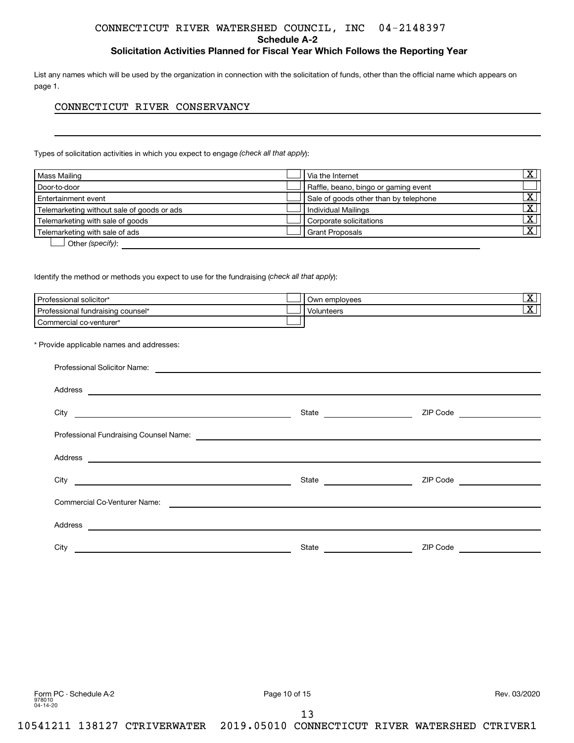**Schedule A-2**

# **Solicitation Activities Planned for Fiscal Year Which Follows the Reporting Year**

List any names which will be used by the organization in connection with the solicitation of funds, other than the official name which appears on page 1.

# CONNECTICUT RIVER CONSERVANCY

Types of solicitation activities in which you expect to engage (check all that apply):

| Mass Mailing                               | Via the Internet                      | $\overline{\mathbf{X}}$ |
|--------------------------------------------|---------------------------------------|-------------------------|
| Door-to-door                               | Raffle, beano, bingo or gaming event  |                         |
| Entertainment event                        | Sale of goods other than by telephone | х                       |
| Telemarketing without sale of goods or ads | <b>Individual Mailings</b>            | $\overline{\mathbf{X}}$ |
| Telemarketing with sale of goods           | Corporate solicitations               | $\overline{\mathbf{X}}$ |
| Telemarketing with sale of ads             | <b>Grant Proposals</b>                | $\overline{\mathbf{X}}$ |
| Other (specify):                           |                                       |                         |

Identify the method or methods you expect to use for the fundraising (check all that apply):

| Professional solicitor*           | Own employees | ▵ |
|-----------------------------------|---------------|---|
| Professional fundraising counsel* | Volunteers    | ▵ |
| Commercial co-venturer*           |               |   |
|                                   |               |   |

\* Provide applicable names and addresses:

| Professional Solicitor Name:<br><u> Andreas Andreas Andreas Andreas Andreas Andreas Andreas Andreas Andreas Andreas Andreas Andreas Andreas Andr</u> |                              |          |  |  |
|------------------------------------------------------------------------------------------------------------------------------------------------------|------------------------------|----------|--|--|
| Address<br><u> 1989 - Johann John Stein, fransk politik (f. 1989)</u>                                                                                |                              |          |  |  |
|                                                                                                                                                      |                              | ZIP Code |  |  |
|                                                                                                                                                      |                              |          |  |  |
| Address<br><u> 1989 - Johann Harry Harry Harry Harry Harry Harry Harry Harry Harry Harry Harry Harry Harry Harry Harry Harry</u>                     |                              |          |  |  |
|                                                                                                                                                      | State ______________________ | ZIP Code |  |  |
| Commercial Co-Venturer Name:                                                                                                                         |                              |          |  |  |
| Address<br><u> Alexandria de la contrada de la contrada de la contrada de la contrada de la contrada de la contrada de la c</u>                      |                              |          |  |  |
| City                                                                                                                                                 | State                        | ZIP Code |  |  |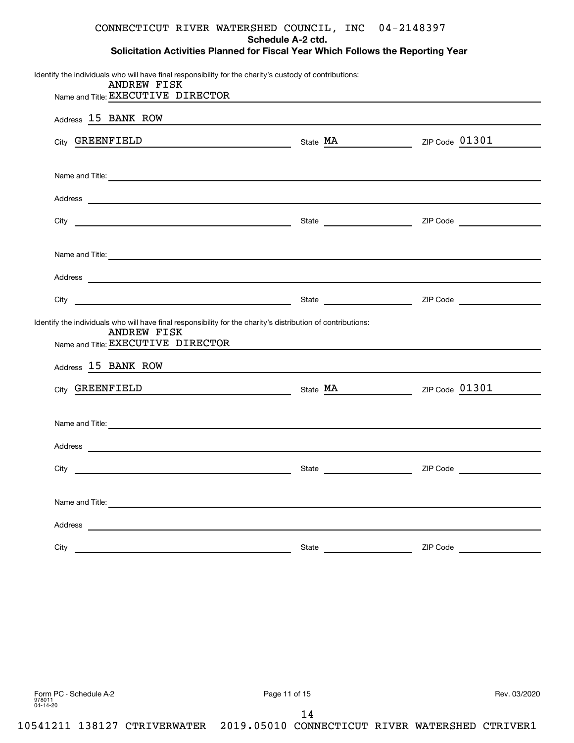**Schedule A-2 ctd.**

**Solicitation Activities Planned for Fiscal Year Which Follows the Reporting Year**

| Identify the individuals who will have final responsibility for the charity's custody of contributions:<br>ANDREW FISK                                                                                                               |                                                                                                                      |          |
|--------------------------------------------------------------------------------------------------------------------------------------------------------------------------------------------------------------------------------------|----------------------------------------------------------------------------------------------------------------------|----------|
| Name and Title: EXECUTIVE DIRECTOR                                                                                                                                                                                                   | <u> 1989 - Johann Barbara, marka a shekara tsa 1989 - An tsa 1989 - An tsa 1989 - An tsa 1989 - An tsa 1989 - An</u> |          |
| Address 15 BANK ROW Management and the contract of the set of the set of the set of the set of the set of the set of the set of the set of the set of the set of the set of the set of the set of the set of the set of the se       |                                                                                                                      |          |
| City GREENFIELD                                                                                                                                                                                                                      | $\frac{M}{A}$ State $\frac{M}{A}$ ZIP Code $\frac{01301}{A}$                                                         |          |
| Name and Title: <u>example and the second contract of the second contract of the second contract of the second contract of the second contract of the second contract of the second contract of the second contract of the secon</u> |                                                                                                                      |          |
| Address experience and the contract of the contract of the contract of the contract of the contract of the contract of the contract of the contract of the contract of the contract of the contract of the contract of the con       |                                                                                                                      |          |
|                                                                                                                                                                                                                                      |                                                                                                                      |          |
| Name and Title: <u>example and the second contract of the second contract of the second contract of the second contract of the second contract of the second contract of the second contract of the second contract of the secon</u> |                                                                                                                      |          |
|                                                                                                                                                                                                                                      |                                                                                                                      |          |
|                                                                                                                                                                                                                                      |                                                                                                                      |          |
| Identify the individuals who will have final responsibility for the charity's distribution of contributions:<br><b>ANDREW FISK</b>                                                                                                   |                                                                                                                      |          |
| Name and Title: EXECUTIVE DIRECTOR Name and Title: EXECUTIVE DIRECTOR                                                                                                                                                                |                                                                                                                      |          |
| Address 15 BANK ROW                                                                                                                                                                                                                  |                                                                                                                      |          |
| City GREENFIELD State MA ZIP Code 01301                                                                                                                                                                                              |                                                                                                                      |          |
| Name and Title: <u>example and the second contract of the second contract of the second contract of the second contract of the second contract of the second contract of the second contract of the second contract of the secon</u> |                                                                                                                      |          |
|                                                                                                                                                                                                                                      |                                                                                                                      |          |
|                                                                                                                                                                                                                                      |                                                                                                                      |          |
| Name and Title: <u>example and the second contract of the second contract of the second contract of the second contract of the second contract of the second contract of the second contract of the second contract of the secon</u> |                                                                                                                      |          |
|                                                                                                                                                                                                                                      |                                                                                                                      |          |
| City                                                                                                                                                                                                                                 | State                                                                                                                | ZIP Code |